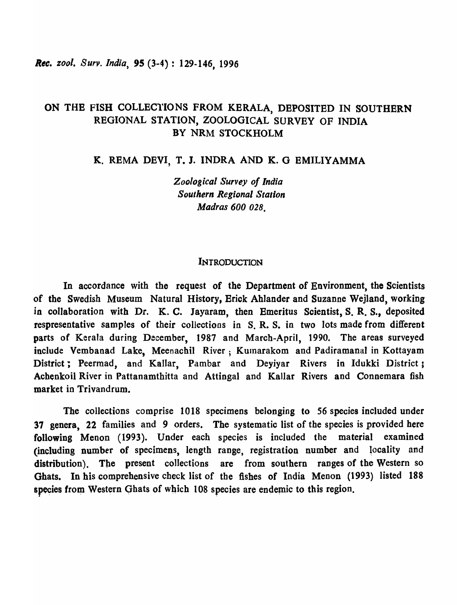# ON THB FISH COLLEC1'IONS FROM KBRALA, DEPOSITED IN SOUTHERN REGIONAL STATION, ZOOLOGICAL SURVEY OF INDIA BY NRM STOCKHOLM

K. REMA DEVI, T. J. INDRA AND K. G EMILIYAMMA

*Zoological Survey of India Southern Regional Station Madras 600 028.* 

#### **INTRODUCTION**

In accordance with the request of the Department of Environment, the Scientists of the Swedish Museum Natural History, Erick Ahlander and Suzanne Wejland, working in collaboration with Dr. K. C. Jayaram, then Emeritus Scientist, S. R. S., deposited respresentative samples of their collections in S. R. S. in two lots made from different parts of Kerala during December, 1987 and March-April, 1990. The areas surveyed include Vembanad Lake, Meenachil River; Kumarakom and Padiramanal in Kottayam District; Peermad, and Kallar, Pambar and Deyiyar Rivers in Idukki District <sup>j</sup> Achenkoil River in Pattanamthitta and Attingal and Kallar Rivers and Connemara fish market in Trivandrum.

The collections comprise 1018 specimens belonging to 56 species included under 37 genera, 22 families and 9 orders. The systematic list of the species is provided here following Menon (1993). Under each species is included the material examined (including number of specimens, length range, registration number and locality and distribution). The present collections are from southern ranges of the Western so Ghats. In his comprehensive check list of the fishes of India Menon (1993) listed 188 species from Western Ghats of which 108 species are endemic to this region.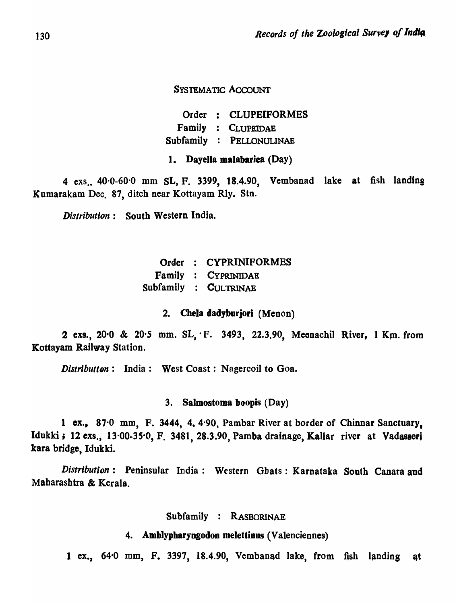SYSTEMATIC ACCOUNT

Order : CLUPEIFORMES Family : CLUPEIDAE Subfamily : PELLONULINAE

1. DayeJla malabarica (Day)

4 exs., 40'0-60'0 mm SL, F. 3399, 18.4.90, Vembanad lake at fish landing Kumarakam Dec. 87, ditch near Kottayam Rly. Stn.

*Distribution:* South Western India.

|  | Order : CYPRINIFORMES |
|--|-----------------------|
|  | Family : CYPRINIDAE   |
|  | Subfamily : CULTRINAE |

#### 2. Chela dadyborjori (Menon)

2 exs., 20.0 & 20.5 mm. SL, F. 3493, 22.3.90, Meenachil River, 1 Km. from Kottayam Railway Station.

*Distributton*: India: West Coast: Nagercoil to Goa.

3. Salmostoma boopis (Day)

1 ex., 87·0 mm, F. 3444, 4. 4'90, Pambar River at border of Chinnar Sanctuary, Idukki; 12 exs., 13.00-35.0, F. 3481, 28.3.90, Pamba drainage, Kallar river at Vadasseri kara bridge, Idukki.

*Distribution:* Peninsular India: Western Gbats: Karnataka South Canara and Maharashtra & Kerala.

Subfamily : RASBORINAE

#### 4. Amblypharyngodon melettinus (Valenciennes)

1 ex., 64'0 mm, F. 3397, 18.4.90, Vembanad lake, from fish landing at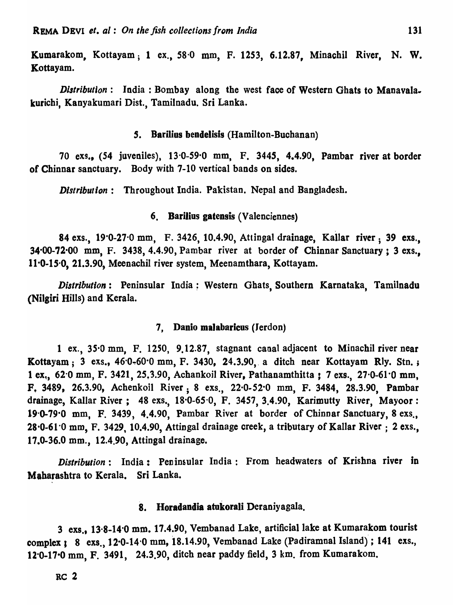Kumarakom, Kottayam; 1 ex., 58·0 mm, F. 1253, 6.12.87, Minachil River, N. W. Kottayam.

*Distribution*: India: Bombay along the west face of Western Ghats to Manavalakurichi, Kanyakumari Dist., Tamilnadu. Sri Lanka.

## 5. Barilius bendelisis (Hamilton-Buchanan)

70 exs., (54 juveniles), 13'0-59'0 mm, F. 3445, 4.4.90, Pambar river at border of Chinnar sanctuary. Body with 7-10 vertical bands on sides.

*Distribution:* Throughout India. Pakistan. Nepal and Bangladesh.

#### 6. Barilius gatensis (Valenciennes)

84 exs., 19'0-27'0 mm, F. 3426, 10.4.90, Attingat drainage, Kallar river; 39 exs., 34'00-72'00 mm, F. 3438, 4.4.90, Pambar river at border of Chinnar Sanctuary; 3 exs., 11'0-15'0, 21.3.90, Meenachil river system, Meenamthara, Kottayam.

*Distribution:* Peninsular India; Western Ghats, Southern Karnataka, Tamilnadu (Nilgiri Hills) and Kerala.

#### 7. Danio malabaricus (Jerdon)

1 ex., 35.0 mm, F. 1250, 9.12.87, stagnant canal adjacent to Minachil river near Kottayam; 3 exs.,  $46.0-60.0$  mm, F. 3430, 24.3.90, a ditch near Kottayam Rly. Stn.; 1 ex., 62.0 mm, F. 3421, 25,3.90, Achankoil River, Pathanamthitta : 7 exs., 27.0-61.0 mm, F. 3489, 26.3.90, Achenkoil River; 8 exs., 22'0-52'0 mm, F. 3484, 28.3.90, Pambar drainage, Kallar River; 48 exs., 18.0-65.0, F. 3457, 3.4.90, Karimutty River, Mayoor: 19'0-79'0 mm, F. 3439, 4.4.90, Pambar River at border of Chinnar Sanctuary, 8 exs.,  $28.0 - 61.0$  mm, F. 3429, 10.4.90, Attingal drainage creek, a tributary of Kallar River : 2 exs., 17.0-36.0 mm., 12.4.90, Attingal drainage.

*Distribution*: India: Peninsular India: From headwaters of Krishna river in Maharashtra to Kerala. Sri Lanka.

# 8. Horadandia atokorali Deraniyagala.

3 exs., 13.8-14.0 mm. 17.4.90, Vembanad Lake, artificial lake at Kumarakom tourist complex; 8 exs., 12.0-14.0 mm, 18.14.90, Vembanad Lake (Padiramnal Island); 141 exs., 12'0-17-0 mm, F. 3491, 24.3.90, ditch near paddy field, 3 km. from Kumarakom.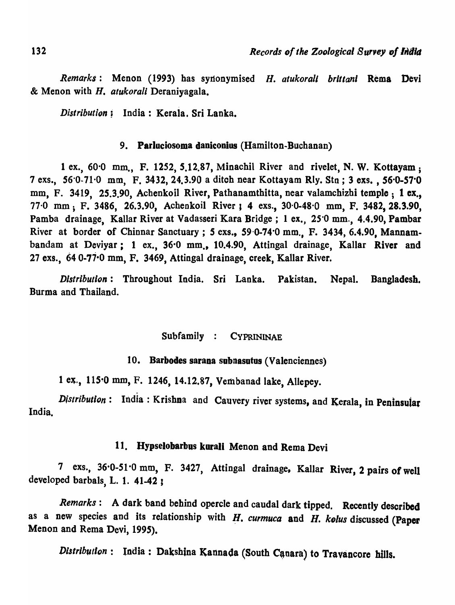*Remarks:* Menon (1993) has syl10nymised *H. atukoralt brlttanl* Rema Devi & Menon with H. *atukorali* Deraniyagala.

*Distribution* : India: Kerala. Sri Lanka.

# 9. Parluciosoma daniconius (Hamilton-Buchanan)

1 ex., 60'0 mm., F. 1252, 5.12.87, Minachil River and rivelet, N. W. Kottayam; 7 exs., 56'0-71'0 mm, F. 3432, 24.3.90 a ditch near Kottayam Rly. Stn ; 3 exs. , S6'0-57'0 mm, F. 3419, 25.3.90, Achenkoil River, Pathanamthitta, near valamchizhi temple; 1 ex., 77·0 mm; F. 3486, 26.3.90, Achenkoil River I 4 exs., 30'0·48'0 mm, F. 3482, 28.3.90, Pamba drainage, Kallar River at Vadasseri Kara Bridge; 1 ex., 25'0 mm., 4.4.90, Pambar River at border of Chinnar Sanctuary; 5 exs., 59.0-74.0 mm., F. 3434, 6.4.90, Mannambandam at Deviyar; 1 ex., 36.0 mm., 10.4.90, Attingal drainage, Kallar River and 27 exs., 64 0-77·0 mm, F. 3469, Attingal drainage, creek, Kallar River.

*Distribution:* Throughout India. Sri Lanka. Pakistan. Nepal. Bangladesh. Burma and Thailand.

# Subfamily : CYPRININAE

#### 10. Barbodes sarana subnasutos (Valenciennes)

1 ex., 115<sup>.0</sup> mm, F. 1246, 14.12.87, Vembanad lake, Allepey.

India. Distribution: India: Krishna and Cauvery river systems, and Kerala, in Peninsular

## 11. Uypselobarbus korali Menon and Rema Devi

7 exs., 36-0-51'0 mm, F. 3427, Attingal drainage. Kallar River, 2 pairs of well developed barbals, L. 1. 41-42 ,

*Remarks:* A dark band behind opercle and caudal dark tipped. Recently described as a new species and its relationship with H. curmuca and H. kolus discussed (Paper Menon and Rema Devi, 1995).

*Distribution*: India: Dakshina Kannada (South Canara) to Travancore hills.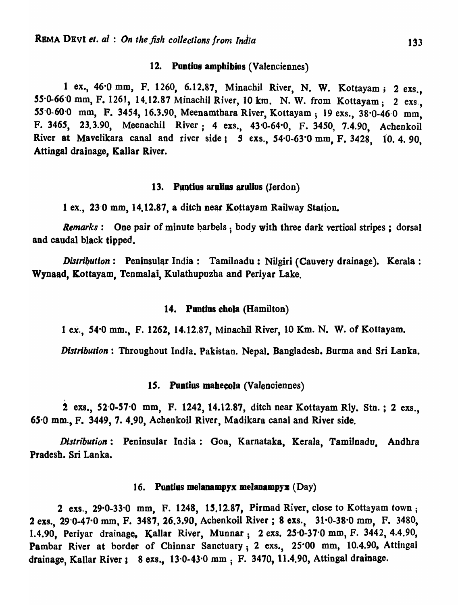#### 12. Puntius amphibius (Valenciennes)

1 ex., 46'0 mm, F. 1260, 6.12.87, Minachil River, N. W. Kottayam; 2 exs., 55'0-66'0 mm, F. 1261, 14.12.87 Minachil River, 10 km. N. W. from Kottayam; 2 exs., 55'0-60'0 mm, F. 3454, 16.3.90, Meenamthara River, Kottayam; 19 exs., 38'0-46'0 mm, F. 3465, 23.3.90, Meenachil River; 4 exs., 43'0-64·0, F. 3450, 7.4.90, Achenkoil River at Mavelikara canal and river side 1 5 exs., 54.0-63.0 mm, F. 3428, 10. 4. 90, Attingal drainage, Kallar River.

#### 13. Puntius arulius arulius (Jerdon)

1 ex., 23.0 mm, 14.12.87, a ditch near Kottayam Railway Station.

*Remarks*: One pair of minute barbels, body with three dark vertical stripes; dorsal and caudal black tipped.

*Distribution*: Peninsular India: Tamilnadu: Nilgiri (Cauvery drainage). Kerala: Wynaad, Kottayam, Tenmalai, Kulathupuzha and Periyar Lake.

#### 14. Pontios chola (Hamilton)

1 ex., 54·0 mm., F. 1262, 14.12.87, Minacbil River, 10 Km. N. W. of Kottayam.

*Distribution:* Throughout India. Pakistan. Nepal. Bangladesh. Burma and Sri Lanka.

# 15. Puntius mahecola (Valenciennes)

2 exs., 52.0-57.0 mm, F. 1242, 14.12.87, ditch near Kottayam Rly. Stn.; 2 exs., 65'0 mm., F. 3449, 7. 4.90, Achenkoil River, Madikara canal and River side.

*Distribution:* Peninsular India: Goa, Karnataka, Kerala, TamiJnadu. Andhra Pradesh. Sri Lanka.

#### 16. Puntius melanampyx melanampyx  $(Day)$

2 exs., 29'0-33'0 mm, F. 1248, 15.12.87, Pirmad River, close to Kottayam town; 2 exs., 29 0-47 0 mm, F. 3487, 26.3.90, Achenkoil River; 8 exs., 31 0-38 0 mm, F. 3480, 1.4.90, Periyar drainage, Kallar River, Munnar; 2 exs. 25.0-37.0 mm, F. 3442, 4.4.90, Pambar River at border of Chinnar Sanctuary; 2 exs., 25.00 mm, 10.4.90, Attingal drainage, Kallar River :  $8$  exs.,  $13.0 - 43.0$  mm ; F. 3470, 11.4.90, Attingal drainage.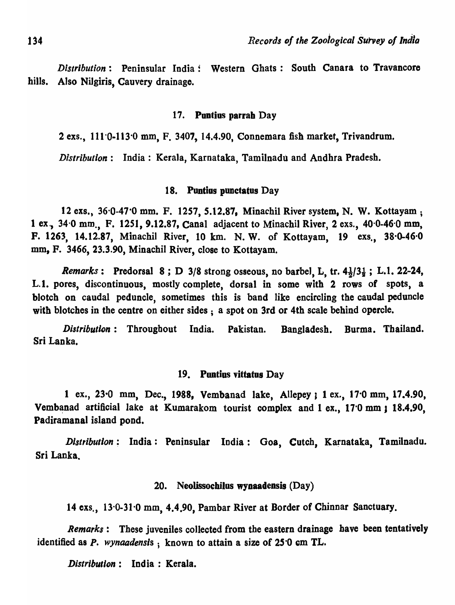*Distribution:* Peninsular India: Western Ghats: South Canara to Travancore hills. Also Nilgiris, Cauvery drainage.

#### 17. Puntius parrah Day

2 exs., 111'0·113'0 mm, F. 3407, 14.4.90, Connemara fish market, Trivandrum.

*Distribution:* India: Kerala, Karnataka, Tamilnadu and Andhra Pradesh.

#### 18. Puntius punctatus Day

12 exs., 36'0-47'0 mm. F. 1257, *S.12.87,* Minachil River system, N. W. Kottayam; 1 ex., 34'0 mm., F. 1251, 9.12.87, Canal adjacent to Minachil River, 2 exs., 40'0-46'0 mm, F. 1263, 14.12.87, Minachil River, 10 km. N. W. of Kottayam, 19 exs., 38·0-46·0 mm, F. 3466, 23.3.90, Minachil River, close to Kottayam.

*Remarks*: Predorsal 8; D 3/8 strong osseous, no barbel, L, tr.  $4\frac{1}{2}$ / $3\frac{1}{4}$ ; L.1. 22-24, L.I. pores, discontinuous, mostly complete, dorsal in some with 2 rows of spots, a blotch on caudal peduncle, sometimes this is band like encircling the caudal peduncle with blotches in the centre on either sides; a spot on 3rd or 4th scale behind opercle.

*Distribution:* Throughout India. Pakistan. Bangladesh. Burma. Thailand. Sri Lanka.

#### 19. Pontius vittatus Day

1 ex., 23.0 mm, Dec., 1988, Vembanad lake, Allepey ; 1 ex., 17.0 mm, 17.4.90, Vembanad artificial lake at Kumarakom tourist complex and 1 ex., 170 mm; 18.4.90, Padiramanal island pond.

*Distribution*: India: Peninsular India: Goa, Cutch, Karnataka, Tamilnadu. Sri Lanka.

#### 20. Neolissochilus wynaadensis (Day)

14 exs., 13.0-31.0 mm, 4.4.90, Pambar River at Border of Chinnar Sanctuary.

*Remarks:* These juveniles collected from the eastern drainage have been tentatively identified as P. *wynaadensis* ; known to attain a size of 250 cm TL.

*. Distributlon:* India: Kerala.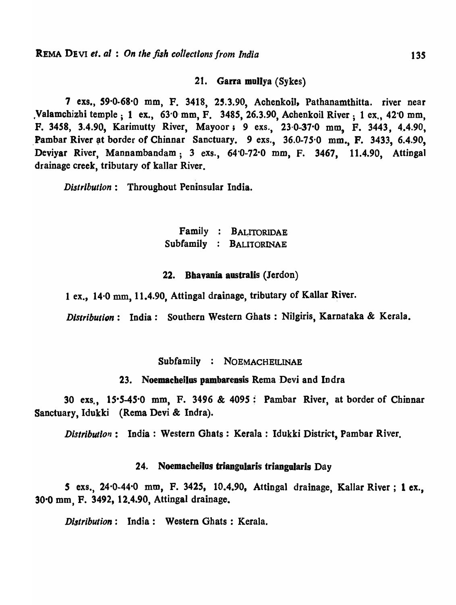21. Garra mollya (Sykes)

7 exs., 59.0-68.0 mm, F. 3418, 25.3.90, Achenkoil, Pathanamthitta. river near tValamcbizbi temple; 1 ex., 63'0- mm, F. 3485, 26.3.90, Achenkoil River; 1 ex., 42'0 mm, F. 3458, 3.4.90, Karimutty River, Mayoor; 9 exs., 23.0-37.0 mm, F. 3443, 4.4.90, Pambar River at border of Chinnar Sanctuary. 9 exs., 36.0-75<sup>.</sup>0 mm., F. 3433, 6.4.90, Deviyar River, Mannambandam; 3 exs., 64'0-72'0 mm, F. 3467, 11.4.90, Attingal drainage creek, tributary of kallar River.

*Distribution:* Throughout Peninsular India.

# Family : BALITORIDAE Subfamily BALITORINAE

### 22. Bhavania australis (Jerdon)

1 ex., 14.0 mm, 11.4.90, Attingal drainage, tributary of Kallar River.

*Distribution:* India: Southern Western Ghats : NiJgiris, Karnataka & Kerala.

Subfamily : NOEMACHELLINAE

23. Noemacheilus pambarensis Rema Devi and Indra

30 exs., 15·5-45'0 mm, F. 3496 & 4095; Pambar River, at border of Chinnar Sanctuary, Idukki (Rema Devi & Indra).

*Distribution*: India: Western Ghats: Kerala: Idukki District, Pambar River.

# 24. Noemacheilos triangularis triangularis Day

S exs., 24-0-44'0 mm, F. 3425, 10.4.90, Attingal drainage, Kallar River; 1 ex\_, 30·0 mm, F. 3492, 12.4.90, Attingal drainage.

*Distribution:* India: Western Ghats: Kerala.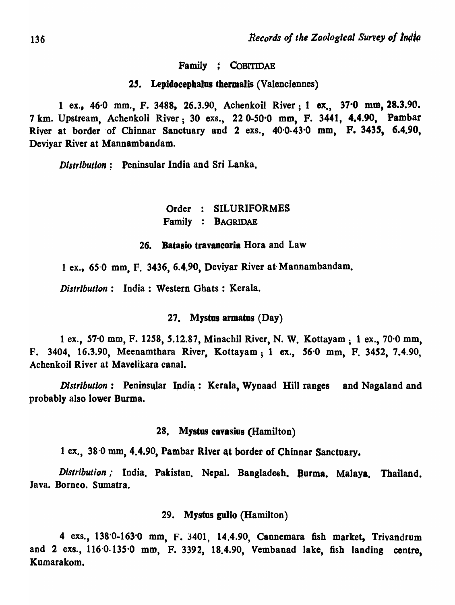Family ; CoBITIDAE

#### 25. Lepidocephalus thermalis (Valenciennes)

1 ex., 46-0 mm., F. 3488, 26.3.90, Achenkoil River; I ex., 37·0 mm, 28.3.90. 7 km. Upstream, Achenkoli River; 30 exs., 220-S0'0 mm, F. 3441, 4.4.90, Pambar River at border of Chinnar Sanctuary and 2 exs., 40.0.43.0 mm, F. 3435, 6.4.90, Deviyar River at Mannambandam.

*Distribution;* Peninsular India and Sri Lanka.

# Order : SILURIFORMES Family : BAGRIDAE

#### 26. Datasio travancoria Hora and Law

1 ex., 65-0 mm, F. 3436, 6.4.90, Deviyar River at- Mannambandam.

*Distribution:* India: Western Ghats: Kerala.

#### 27. Mystos armatas (Day)

1 ex., 57'0 mm, F. *1258,* 5.12.87, Minacbil River, N. W. Kottayam; 1 ex., 70'0 mm, F. 3404, 16.3.90, Meenamthara River, Kottayam; 1 ex., 56.0 mm, F. 3452, 7.4.90, Achenkoil River at Mavelikara canal.

*Distribution*: Peninsular India: Kerala, Wynaad Hill ranges and Nagaland and probably also lower Burma.

#### 28. Mystus cavasius (Hamilton)

1 ex., 38.0 mm, 4.4.90, Pambar River at border of Chinnar Sanctuary.

*Distribution*; India. Pakistan. Nepal. Bangladesh. Burma. Malaya. Thailand. Java. Borneo. Sumatra.

#### 29. Mystus golio (Hamilton)

4 exs., 138'0-163'0 mm, F. 3401, 14.4.90, Cannemara fish market, Trivandrum and 2 exs., 116'0·135'0 mm, F. 3392, 18.4.90, Vembanad lake, fish landing centre, Kumarakom.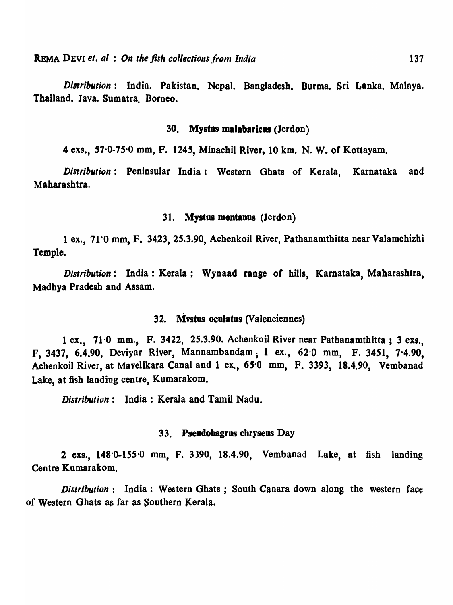*Distribution:* India. Pakistan. Nepal. Bangladesh. Burma. Sri Lanka. Malaya. Thailand. Java. Sumatra. Borneo.

#### 30. Mystus malabaricus (Jerdon)

4 exs., 57·0-75·0 mm, F. 1245, Minachil River, 10 km. N. W. of Kottayam.

*Distribution:* Peninsular India: Western Ghats of Kerala, Karnataka and Maharashtra.

#### 31. Mystus montanus (Jerdon)

1 ex., 71'0 mm, F. 3423, 25.3.90, Achenkoil River, Pathanamthitta near Valamchizhi Temple.

*Distribution:* India: Kerala; Wynaad range of bills, Karnataka, Maharashtra, Madhya Pradesh and Assam.

#### 32. Mystus oculatus (Valenciennes)

1 ex., 71·0 mm., F. 3422, 25.3.90. Achenkoil River near Patbanamthitta , 3 exs., F, 3437, 6.4.90, Deviyar River, Mannambandam; 1 ex., 62'0 mm, F. 3451, 7·4.90, Achenkoil River, at Mavelikara Canal and 1 ex., 65'0 mm, F. 3393, 18.4.90, Vembanad Lake, at fish landing centre, Kumarakom.

*Distribution:* India: Kerala and Tamil Nadu.

#### 33. Pseudobagros chryseus Day

2 exs., 148'0-155'0 mm, F. 3390, 18.4.90, Vembanad Lake, at fish landing Centre Kumarakom.

*Distribution*: India: Western Ghats; South Canara down along the western face of Western Ghats as far as Southern Kerala.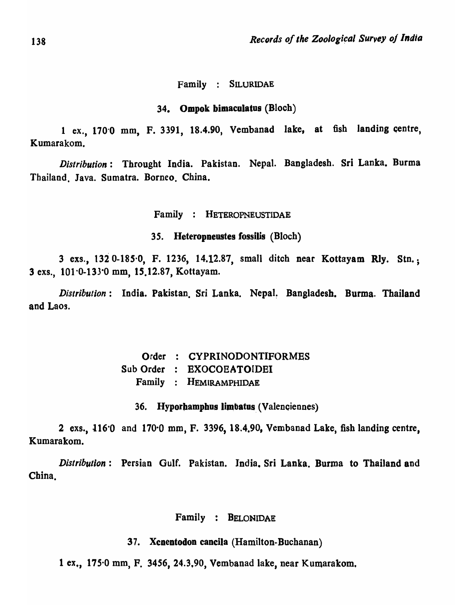#### Family : SILURIDAE

#### 34. Ompok bimaculatus (Bloch)

1 ex., 170·0 mm, F. 3391, 18.4.90, Vembanad lake, at fish landing qentre, Kumarakom.

*Distribution:* Throught India. Pakistan. Nepal. Bangladesh. Sri Lanka. Burma Thailand. Java. Sumatra. Borneo. China.

Family : HETEROPNEUSTIDAE

35. Heteropneustes fossilis (Bloch)

3 exs., 1320-18S'0, F. 1236, 14.12.87, small ditch near Kottayam Rly. Stn.; 3 exs., 101'0-133'0 mm, *lS.12.87,* Kottayam.

*Distribution*: India. Pakistan Sri Lanka. Nepal. Bangladesh. Burma. Thailand and Laos.

> Order : CYPRINODONTIFORMES Sub Order EXOCOEATOIDBI Family HEMlRAMPHIDAE

36. Hyporhamphus limbatus (Valenciennes)

2 exs.,  $116'0$  and  $170'0$  mm, F. 3396, 18.4.90, Vembanad Lake, fish landing centre, Kumarakom.

*Distribution:* Persian Gulf. Pakistan. India. Sri Lanka. Burma to Thailand and China.

## Family : BELONIDAE

37. Xcnentodon cancila (Hamilton-Buchanan)

1 ex., 175'0 mm, F. 3456, 24.3.90, Vembanad lake, near Kumarakom,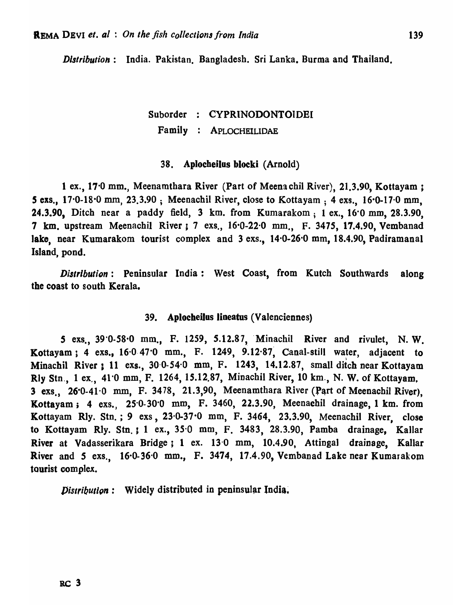*Distribution:* India. Pakistan. Bangladesh. Sri Lanka. Burma and Thailand,

# Suborder CYPRINODONTOIDEI Family APLOCHElLIDAE

#### 38. Aplocheilus blocki (Arnold)

1 ex., 17'0 mm., Meenamthara River (Part of Meena chit River), 21.3.90, Kottayam ; *S* exs., 17'0-18'0 mm, 23.3.90; Meenachil River, close to Kottayam ; 4 exs., 16·0-17·0 mm, 24.3.90, Ditch near a paddy field, 3 km. from Kumarakom; 1 ex., 16'0 mm, 28.3.90, 7 km. upstream Meenachil River i 7 exs., 16'0-22·0 mm., F. 3475, 17.4.90, Vembanad lake, near Kumarakom tourist complex and 3 exs., 14.0-26.0 mm, 18.4.90, Padiramanal Island, pond.

*Distribution:* Peninsular India: West Coast, from Kutch Southwards along the coast to south Kerala.

#### 39. Aplocheilos lineatus (Valenciennes)

*S* exs., 39'0-58'0 mm., F. 1259, *S.12.87"* 'Minachil River and rivulet, N, W. Kottayam; 4 exs., 16.0 47.0 mm., F. 1249, 9.12.87, Canal-still water, adjacent to Minachil River *a* 11 exs., 30·0-54'0 mm, F. 1243, 14.12.87, small ditch near Kottayam Rly Stn., 1 ex., 41.0 mm, F. 1264, 15.12.87, Minachil River, 10 km., N. W. of Kottayam.  $3$  exs.,  $26.0 - 41.0$  mm, F. 3478, 21.3,90, Meenamthara River (Part of Meenachil River). Kottayam; 4 exs.,  $25.0-30.0$  mm, F. 3460, 22.3.90, Meenachil drainage, 1 km. from Kottayam RIy, Stn. ; 9 exs, 23·0-37·0 mm, F. 3464, 23.3.90, Meenachil River, close to Kottayam Rly. Stn.; 1 ex., 35.0 mm, F. 3483, 28.3.90, Pamba drainage, Kallar River at Vadasserikara Bridge; 1 ex. 130 mm, 10.4.90, Attingal drainage, Kallar River and 5 exs.,  $16.0-36.0$  mm., F. 3474, 17.4.90, Vembanad Lake near Kumarakom tourist complex.

 $Distribution:$  Widely distributed in peninsular India.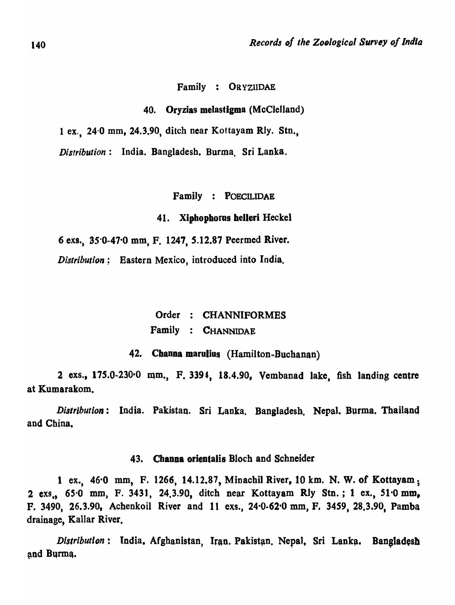#### Family : OR YZIIDAE

40. Oryzias melastigma (McClelland)

1 ex., 24·0 mm, 24.3.90, ditch near Kottayam Rly. Stn.,

*Distribution:* India. Bangladesh. Burma, Sri Lanka,

Family : POECILIDAE

#### 41. Xiphophorus helleri Heckel

6 exs., 35'0-47'0 mm, F. 1247, 5.12.87 Peermed River.

*Distribution;* Eastern Mexico, introduced into India.

Order : CHANNIFORMES Family : CHANNIDAE

42. Channa marulius (Hamilton-Buchanan)

2 exs.,  $175.0-230.0$  mm., F. 3394, 18.4.90, Vembanad lake, fish landing centre at Kumarakom.

*Distribution:* India. Pakistan. Sri Lanka. Bangladesh. Nepal. Burma. Thailand and China,

#### 43. Channa orientalis Bloch and Schneider

1 ex., 46'0 mm, F. 1266, 14.12.87, Minachil River, 10 km. N. W. of Kottayam; 2 exs., 65.0 mm, F. 3431, 24.3.90, ditch near Kottayam Rly Stn.; 1 ex., 51.0 mm, P. 3490, 26.3.90, Achenkoil River and 11 exs., 24'0·62'0 mm, P. 3459, 28.3.90, Pamba drainage, Kallar River.

*Distribution*: India. Afghanistan, Iran. Pakistan. Nepal, Sri Lanka. Bangladesh and Burma.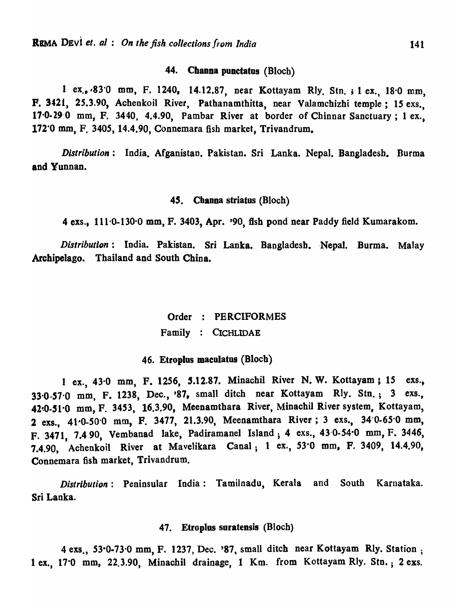# 44. Channa punctatus (Bloch)

1 ex .• ,83·0 mm, F, 1240, 14.12.87, near Kottayam Rly. Stn. ; 1 ex., IS'O mm, P. 3421, *2S.3.90,* Achenkoil River, Pathanamthitta, near Valamchizhi temple; 15 exs., 17·0·29·0 mm, F. 3440, 4.4.90, Pambar River at border of Chinnar Sanctuary; 1 ex., 172'0 mm, F. 3405, 14.4.90, Connemara fish market, Trivandrum.

*Distribution:* India. Afganistan. Pakistan. Sri Lanka. Nepal. Bangladesh. Burma and Yunnan.

#### 45. Channa striatus (Bloch)

4 exs., 111'0-130'0 mm, F. 3403, Apr. '90, fish pond near Paddy field Kumarakom.

*Distribution*: India. Pakistan. Sri Lanka. Bangladesh. Nepal. Burma. Malay Archipelago. Thailand and South China.

# Order PERCIFORMES Family CICHLIDAE

#### 46. Etroplus maeulatus (Blocb)

1 ex., 43<sup>.</sup>0 mm, F. 1256, 5.12.87. Minachil River N. W. Kottayam; 15 exs., 33.0.57.0 mm, F. 1238, Dec., '87, small ditch near Kottayam Rly. Stn.; 3 exs., 42~O.Sl·0 mm, F. 3453, 16.3.90, Meenamthara River, Minachil River system, Kottayam, 2 exs., 41.0-50.0 mm, F. 3477, 21.3.90, Meenamthara River; 3 exs., 34.0-65.0 mm, F. 3471, 7.4.90, Vembanad lake, Padiramanel Island; 4 exs., 43-0·54'0 mm, F. 3446, 7.4.90, Achenkoil River at Mavelikara Canal; t ex., 53'0 mm, F. 3409, 14.4.90, Connemara fish market, Trivandrum.

*Distribution*: Peninsular India: Tamilnadu, Kerala and South Karnataka. Sri Lanka.

#### 47. Etroplus suratensis (Bloch)

4 exs., 53'0·73'0 mm, F. 1237, Dec. '87, small ditch near Kottayam Rly. Station; 1 ex., 17·0 mm, 22.3.90, Minachil drainage, 1 Km. from Kottayam Rly. Stn.; 2 exs.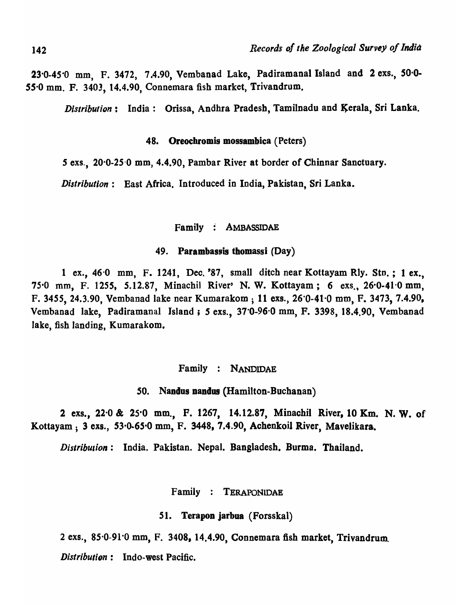23<sup>.</sup>0-45<sup>.0</sup> mm, F. 3472, 7.4.90, Vembanad Lake, Padiramanal Island and 2 exs., 50.0-55'0 mm. F. 3403, 14.4.90, Connemara fish market, Trivandrum.

*Distribution*: India: Orissa, Andhra Pradesh, Tamilnadu and Kerala, Sri Lanka.

#### 48. Oreochromis mossambica ( Peters)

*5* exs., 20'0-25-0 mm, 4.4.90, Pambar River at border of Chinnar Sanctuary.

*Distribution:* East Africa. Introduced in India, Pakistan, Sri Lanka.

Family : AMBASSIDAE

#### 49. Parambassis thomassi (Day)

1 ex., 46-0 mm, F. 1241, Dec. '87, small ditch near Kottayam Rly. Stn.; 1 ex., 75.0 mm, F. 1255, 5.12.87, Minachil River' N. W. Kottayam; 6 exs., 26.0-41.0 mm, F. 3455, 24.3.90, Vembanad lake near Kumarakom; 11 exs., 26'0-41'0 mm, F. 3473, 7.4.90, Vembanad lake, Padiramanal Island; 5 exs., 37'0-96'0 mm, F. 3398, 18.4.90, Vembanad lake, fish landing, Kumarakom.

#### Family : NANDIDAE

50. Nandus nandus (Hamilton-Buchanan)

2 exs., 22·0 & 25'0 mm., F. 1267, 14.12.87, Minachil River, 10 Km. N. W. of Kottayam: 3 exs., 53.0-65.0 mm, F. 3448, 7.4.90, Achenkoil River, Mavelikara.

*Distribution:* India. Pakistan. Nepal. Bangladesh. Burma. Thailand.

Family : TERAPONlDAE

51. **Terapon jarbua** (Forsskal)

2 exs., 85'0-91'0 mm, F. 3408, 14.4.90, Connemara fish market, Trivandrum,

*Distribution:* Indo-west Pacific.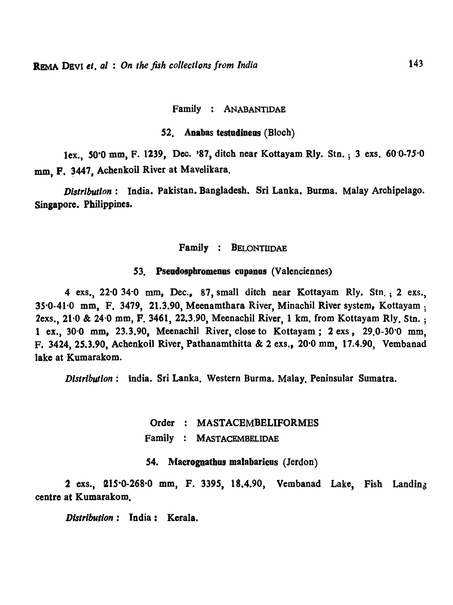#### Family : ANABANTlDAE

#### 52. Anabas testudineus (Bloch)

lex., 50·0 mm, F. 1239, Dec. '87, ditch near Kottayam Rly. Stn. ; 3 exs. 60'0-75·0 mm. F. 3447. Achenkoil River at Mavelikara.

*Distribution:* India. Pakistan. Bangladesh. Sri Lanka. Burma. Malay Archipelago. Singapore. Philippines.

#### Family : BELONTllOAE

#### 53. Pseudosphromenus cupanos (Valenciennes)

4 exs.,  $22.0$  34.0 mm, Dec., 87, small ditch near Kottayam Rly. Stn.; 2 exs., 35·0-41·0 mm, F. 3479, 21.3.90, Meenamthara River, Minachil River system, Kottayam ; 2exs., 21.0 & 24.0 mm, F. 3461, 22.3.90, Meenachil River, 1 km. from Kottayam Rly. Stn.; 1 ex., 30·0 mm, 23.3.90, Meenachil River, close to Kottayam; 2 exs, 29.0-30·0 mm, F. 3424, 25.3.90, Achenkoil River, Pathanamthitta & 2 exs., 20·0 mm, 17.4.90, Vembanad lake at Kumarakom.

*Distribution:* india. Sri Lanka. Western Burma. Malay. Peninsular Sumatra.

Order : MASTACEMBELIFORMES Family MASTACEMBELIDAE

54. Macrognathus malabaricus (Jerdon)

2 exs., 215.0-268.0 mm, F. 3395, 18.4.90, Vembanad Lake, Fish Landing centre at Kumarakom.

*Distribution:* India: Kerala.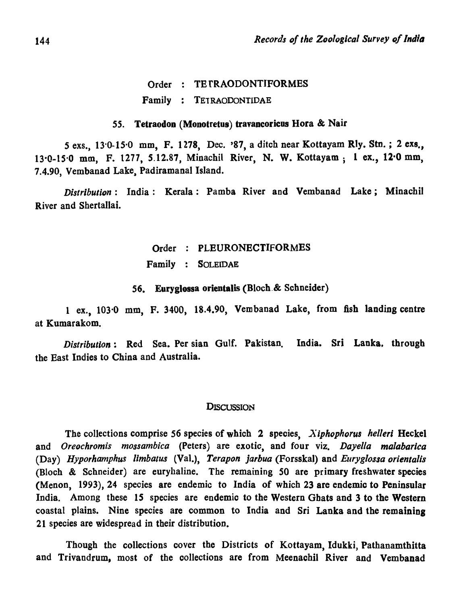Order : TETRAODONTIFORMES Family TE1RAODONTIDAE

#### 55. **Tetraodon (Monotretus) travancoricus Hora & Nair**

5 exs., 13·0-15·0 mm, F. 1278, Dec. '87, a ditch near Kottayam Rly. StD. ; 2 exs., 13·0-1S·0 mm, F. 1277, 5.12.87, Minachil River, N. W. Kottayam; 1 ex., 12·0 mm, 7.4.90, Vembanad Lake, Padiramanal Island.

*Distribution:* India: Kerala: Pamba River and Vembanad Lake; Minachil River and Shertallai.

# Order PLEURONECTIFORMES

Family SOLEIDAE

56. Euryglossa orientalis (Bloch.& Schneider)

1 ex., 103·0 mm, F. 3400, 18.4.90, Vembanad Lake, from fish landing centre at Kumarakom.

*Distribution:* Red Sea. Per sian Gulf. Pakistan. India. Sri Lanka, througb the East Indies to China and Australia.

#### **DISCUSSION**

The collections comprise 56 species of which 2 species, *X iphophorus helleri* Heckel and *Oreochromis mossambica* (Peters) are exotic, and four viz. *Dayel/a malabarica*  (Day) *Hyporhamphus limbatus* (Val.), *Terapon jarbua* (Forsskal) and *Euryglossa orientalis* (Bloch & Schneider) are euryhaline. The remaining SO are primary freshwater species (Menon, 1993), 24 species are endemic to India of which 23 are endemic to Peninsular India. Among these IS species are endemic to the Western Ghats and 3 to the Western coastal plains. Nine species are common to India and Sri Lanka and the remaining 21 species are widespread in their distribution.

Though the collections cover the Districts of Kottayam, Idukki, Pathanamthitta and Trivandrum, most of the collections are from Meenachil River and Vembanad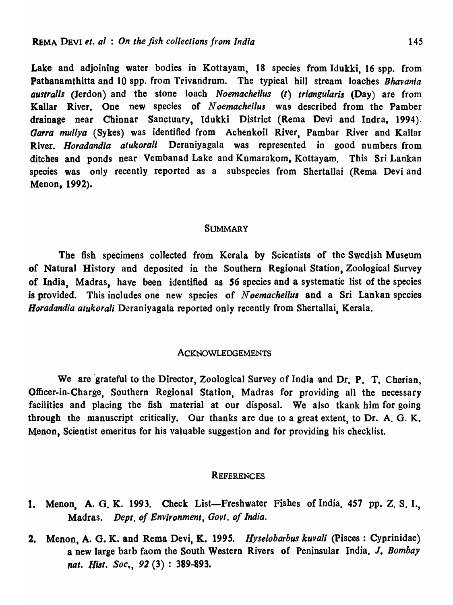Lake and adjoining water bodies in Kottayam, 18 species from Idukki, 16 spp. from Patbanamthitta and 10 spp. from Trivandrum. The typical hill stream loaches *Bhavania australis* (Jerdon) and the stone loach *Noemacheilus* «() *triangularis* (Day) are from Kallar River. One new species of *N* oemacheilus was described from the Pamber drainage near Chinnar Sanctuary, Idukki District (Rema Devi and Indra, 1994). Garra mullya (Sykes) was identified from Achenkoil River, Pambar River and Kallar River. *Horadandia atukorali* Deraniyagala was represented in good numbers from ditches and ponds near Vembanad Lake and Kumarakom. Kottayam. This Sri Lankan species was only recently reported as a subspecies from Shertallai (Rema Devi and Menon. 1992).

#### **SUMMARY**

The fish specimens collected from Kerala by Scientists of the Swedish Museum of Natural History and deposited in the Southern Regional Station, Zoological Survey of India, Madras, have been identified as 56 species and a systematic list of the species is provided. This includes one new species of *N oemacheilus* and a Sri Lankan species *Horadandia atukorali* Deraniyagala reported only recently from Shertallai, Kerala.

#### ACKNOWLEDGEMENTS

We are grateful to the Director, Zoological Survey of India and Dr. P. T. Cherian, Officer-in-Charge, Southern Regional Station, Madras for providing all the necessary facilities and placing the fish material at our disposal. We also tkank him for going through the manuscript critically. Our thanks are due to a great extent, to Dr. A. G. K. Menon, Scientist emeritus for his valuable suggestion and for providing his checklist.

#### **REFERENCES**

- 1. Menon, A. G. K. 1993. Check List-Freshwater Fishes of India. 457 pp. Z. S. I., Madras. *Dept. of Environment, Govt. of India.*
- 2. Menon, A. G. K. and Rema Devi, K. 1995. *Hyselobarbus kuvali* (Pisces: Cyprinidae) a new large barb faom the South Western Rivers of Peninsular lndia. J. *Bombay nat. Hist. Soc.*, 92(3): 389-893.